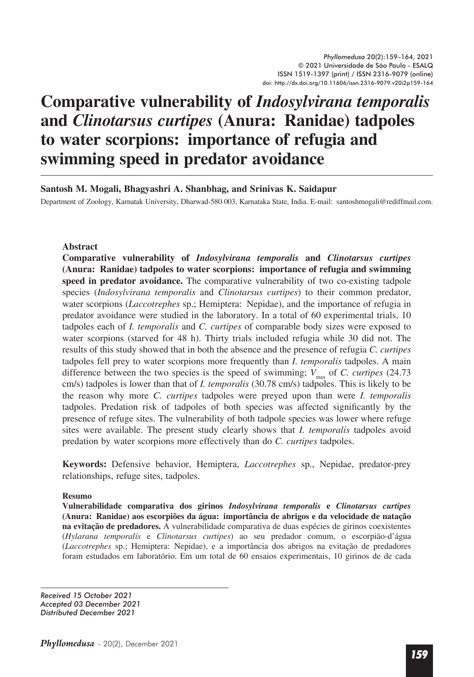# **Comparative vulnerability of** *Indosylvirana temporalis*  **and** *Clinotarsus curtipes* **(Anura: Ranidae) tadpoles to water scorpions: importance of refugia and swimming speed in predator avoidance**

## **Santosh M. Mogali, Bhagyashri A. Shanbhag, and Srinivas K. Saidapur**

Department of Zoology, Karnatak University, Dharwad-580 003, Karnataka State, India. E-mail: santoshmogali@rediffmail.com.

#### **Abstract**

**Comparative vulnerability of** *Indosylvirana temporalis* **and** *Clinotarsus curtipes*  **(Anura: Ranidae) tadpoles to water scorpions: importance of refugia and swimming speed in predator avoidance.** The comparative vulnerability of two co-existing tadpole species (*Indosylvirana temporalis* and *Clinotarsus curtipes*) to their common predator, water scorpions (*Laccotrephes* sp.; Hemiptera: Nepidae), and the importance of refugia in predator avoidance were studied in the laboratory. In a total of 60 experimental trials, 10 tadpoles each of *I. temporalis* and *C. curtipes* of comparable body sizes were exposed to water scorpions (starved for 48 h). Thirty trials included refugia while 30 did not. The results of this study showed that in both the absence and the presence of refugia *C. curtipes* tadpoles fell prey to water scorpions more frequently than *I. temporalis* tadpoles. A main difference between the two species is the speed of swimming;  $V_{\text{max}}$  of *C. curtipes* (24.73) cm/s) tadpoles is lower than that of *I. temporalis* (30.78 cm/s) tadpoles. This is likely to be the reason why more *C. curtipes* tadpoles were preyed upon than were *I. temporalis* tadpoles. Predation risk of tadpoles of both species was affected significantly by the presence of refuge sites. The vulnerability of both tadpole species was lower where refuge sites were available. The present study clearly shows that *I. temporalis* tadpoles avoid predation by water scorpions more effectively than do *C. curtipes* tadpoles.

**Keywords:** Defensive behavior, Hemiptera, *Laccotrephes* sp., Nepidae, predator-prey relationships, refuge sites, tadpoles.

#### **Resumo**

**Vulnerabilidade comparativa dos girinos** *Indosylvirana temporalis* **e** *Clinotarsus curtipes* **(Anura: Ranidae) aos escorpiões da água: importância de abrigos e da velocidade de natação na evitação de predadores.** A vulnerabilidade comparativa de duas espécies de girinos coexistentes (*Hylarana temporalis* e *Clinotarsus curtipes*) ao seu predador comum, o escorpião-d'água (*Laccotrephes* sp.; Hemiptera: Nepidae), e a importância dos abrigos na evitação de predadores foram estudados em laboratório. Em um total de 60 ensaios experimentais, 10 girinos de de cada

*Received 15 October 2021 Accepted 03 December 2021 Distributed December 2021*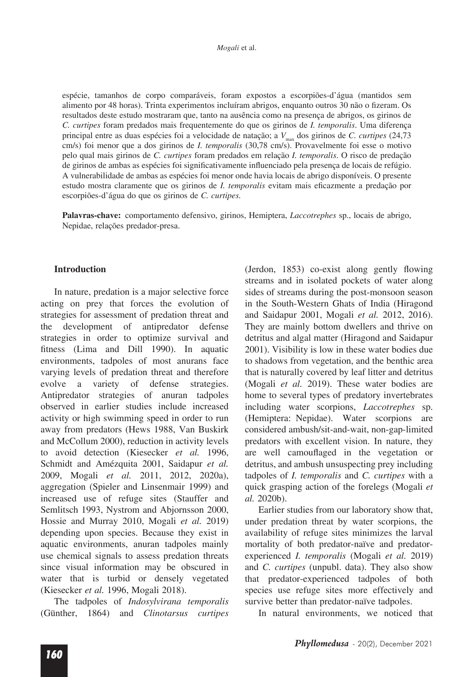espécie, tamanhos de corpo comparáveis, foram expostos a escorpiões-d'água (mantidos sem alimento por 48 horas). Trinta experimentos incluíram abrigos, enquanto outros 30 não o fizeram. Os resultados deste estudo mostraram que, tanto na ausência como na presença de abrigos, os girinos de C. curtipes foram predados mais frequentemente do que os girinos de I. temporalis. Uma diferença principal entre as duas espécies foi a velocidade de natação; a  $V_{\text{max}}$  dos girinos de C. curtipes (24,73) cm/s) foi menor que a dos girinos de *I. temporalis* (30,78 cm/s). Provavelmente foi esse o motivo pelo qual mais girinos de C. curtipes foram predados em relação I. temporalis. O risco de predação de girinos de ambas as espécies foi significativamente influenciado pela presença de locais de refúgio. A vulnerabilidade de ambas as espécies foi menor onde havia locais de abrigo disponíveis. O presente estudo mostra claramente que os girinos de I. temporalis evitam mais eficazmente a predação por escorpiões-d'água do que os girinos de C. curtipes.

Palavras-chave: comportamento defensivo, girinos, Hemiptera, Laccotrephes sp., locais de abrigo, Nepidae, relações predador-presa.

#### **Introduction**

In nature, predation is a major selective force acting on prey that forces the evolution of strategies for assessment of predation threat and the development of antipredator defense strategies in order to optimize survival and fitness (Lima and Dill 1990). In aquatic environments, tadpoles of most anurans face varying levels of predation threat and therefore evolve a variety of defense strategies. Antipredator strategies of anuran tadpoles observed in earlier studies include increased activity or high swimming speed in order to run away from predators (Hews 1988, Van Buskirk and McCollum 2000), reduction in activity levels to avoid detection (Kiesecker et al. 1996, Schmidt and Amézquita 2001, Saidapur et al. 2009, Mogali et al. 2011, 2012, 2020a), aggregation (Spieler and Linsenmair 1999) and increased use of refuge sites (Stauffer and Semlitsch 1993, Nystrom and Abjornsson 2000, Hossie and Murray 2010, Mogali et al. 2019) depending upon species. Because they exist in aquatic environments, anuran tadpoles mainly use chemical signals to assess predation threats since visual information may be obscured in water that is turbid or densely vegetated (Kiesecker *et al.* 1996, Mogali 2018).

The tadpoles of Indosylvirana temporalis (Günther, 1864) and Clinotarsus curtipes

(Jerdon, 1853) co-exist along gently flowing streams and in isolated pockets of water along sides of streams during the post-monsoon season in the South-Western Ghats of India (Hiragond and Saidapur 2001, Mogali et al. 2012, 2016). They are mainly bottom dwellers and thrive on detritus and algal matter (Hiragond and Saidapur 2001). Visibility is low in these water bodies due to shadows from vegetation, and the benthic area that is naturally covered by leaf litter and detritus (Mogali et al. 2019). These water bodies are home to several types of predatory invertebrates including water scorpions, Laccotrephes sp. (Hemiptera: Nepidae). Water scorpions are considered ambush/sit-and-wait, non-gap-limited predators with excellent vision. In nature, they are well camouflaged in the vegetation or detritus, and ambush unsuspecting prey including tadpoles of *I. temporalis* and *C. curtipes* with a quick grasping action of the forelegs (Mogali et al. 2020b).

Earlier studies from our laboratory show that, under predation threat by water scorpions, the availability of refuge sites minimizes the larval mortality of both predator-naïve and predatorexperienced *I. temporalis* (Mogali et al. 2019) and *C. curtipes* (unpubl. data). They also show that predator-experienced tadpoles of both species use refuge sites more effectively and survive better than predator-naïve tadpoles.

In natural environments, we noticed that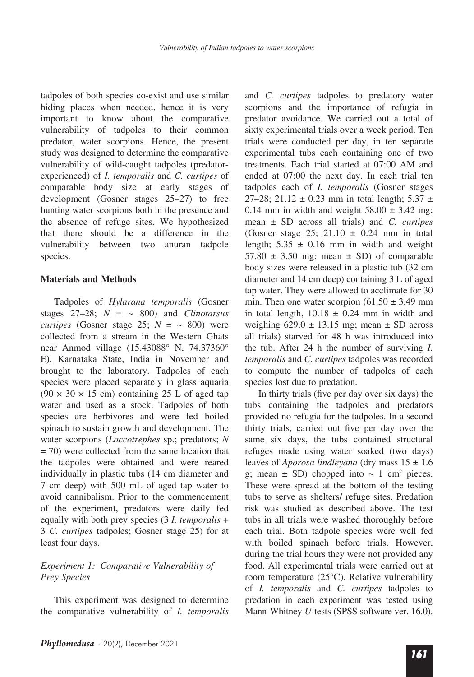tadpoles of both species co-exist and use similar hiding places when needed, hence it is very important to know about the comparative vulnerability of tadpoles to their common predator, water scorpions. Hence, the present study was designed to determine the comparative vulnerability of wild-caught tadpoles (predatorexperienced) of *I. temporalis* and *C. curtipes* of comparable body size at early stages of development (Gosner stages 25–27) to free hunting water scorpions both in the presence and the absence of refuge sites. We hypothesized that there should be a difference in the vulnerability between two anuran tadpole species.

## **Materials and Methods**

Tadpoles of *Hylarana temporalis* (Gosner stages  $27-28$ ;  $N = \sim 800$  and *Clinotarsus curtipes* (Gosner stage 25;  $N = \sim 800$ ) were collected from a stream in the Western Ghats near Anmod village (15.43088° N, 74.37360° E), Karnataka State, India in November and brought to the laboratory. Tadpoles of each species were placed separately in glass aquaria  $(90 \times 30 \times 15$  cm) containing 25 L of aged tap water and used as a stock. Tadpoles of both species are herbivores and were fed boiled spinach to sustain growth and development. The water scorpions (*Laccotrephes* sp.; predators; *N*  $= 70$ ) were collected from the same location that the tadpoles were obtained and were reared individually in plastic tubs (14 cm diameter and 7 cm deep) with 500 mL of aged tap water to avoid cannibalism. Prior to the commencement of the experiment, predators were daily fed equally with both prey species (3 *I. temporalis* + 3 *C. curtipes* tadpoles; Gosner stage 25) for at least four days.

## *Experiment 1: Comparative Vulnerability of Prey Species*

This experiment was designed to determine the comparative vulnerability of *I. temporalis* and *C. curtipes* tadpoles to predatory water scorpions and the importance of refugia in predator avoidance. We carried out a total of sixty experimental trials over a week period. Ten trials were conducted per day, in ten separate experimental tubs each containing one of two treatments. Each trial started at 07:00 AM and ended at 07:00 the next day. In each trial ten tadpoles each of *I. temporalis* (Gosner stages 27–28; 21.12  $\pm$  0.23 mm in total length; 5.37  $\pm$ 0.14 mm in width and weight  $58.00 \pm 3.42$  mg; mean ± SD across all trials) and *C. curtipes*  (Gosner stage 25; 21.10  $\pm$  0.24 mm in total length;  $5.35 \pm 0.16$  mm in width and weight  $57.80 \pm 3.50$  mg; mean  $\pm$  SD) of comparable body sizes were released in a plastic tub (32 cm diameter and 14 cm deep) containing 3 L of aged tap water. They were allowed to acclimate for 30 min. Then one water scorpion  $(61.50 \pm 3.49 \text{ mm})$ in total length,  $10.18 \pm 0.24$  mm in width and weighing  $629.0 \pm 13.15$  mg; mean  $\pm$  SD across all trials) starved for 48 h was introduced into the tub. After 24 h the number of surviving *I. temporalis* and *C. curtipes* tadpoles was recorded to compute the number of tadpoles of each species lost due to predation.

In thirty trials (five per day over six days) the tubs containing the tadpoles and predators provided no refugia for the tadpoles. In a second thirty trials, carried out five per day over the same six days, the tubs contained structural refuges made using water soaked (two days) leaves of *Aporosa lindleyana* (dry mass 15 ± 1.6 g; mean  $\pm$  SD) chopped into  $\sim$  1 cm<sup>2</sup> pieces. These were spread at the bottom of the testing tubs to serve as shelters/ refuge sites. Predation risk was studied as described above. The test tubs in all trials were washed thoroughly before each trial. Both tadpole species were well fed with boiled spinach before trials. However, during the trial hours they were not provided any food. All experimental trials were carried out at room temperature (25°C). Relative vulnerability of *I. temporalis* and *C. curtipes* tadpoles to predation in each experiment was tested using Mann-Whitney *U-*tests (SPSS software ver. 16.0).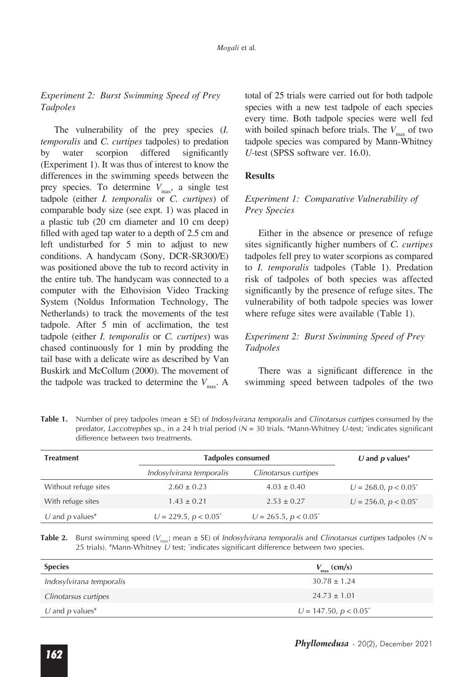## *Experiment 2: Burst Swimming Speed of Prey Tadpoles*

The vulnerability of the prey species (*I. temporalis* and *C. curtipes* tadpoles) to predation by water scorpion differed significantly (Experiment 1). It was thus of interest to know the differences in the swimming speeds between the prey species. To determine  $V_{\text{max}}$ , a single test tadpole (either *I. temporalis* or *C. curtipes*) of comparable body size (see expt. 1) was placed in a plastic tub (20 cm diameter and 10 cm deep) filled with aged tap water to a depth of  $2.5 \text{ cm}$  and left undisturbed for 5 min to adjust to new conditions. A handycam (Sony, DCR-SR300/E) was positioned above the tub to record activity in the entire tub. The handycam was connected to a computer with the Ethovision Video Tracking System (Noldus Information Technology, The Netherlands) to track the movements of the test tadpole. After 5 min of acclimation, the test tadpole (either *I. temporalis* or *C. curtipes*) was chased continuously for 1 min by prodding the tail base with a delicate wire as described by Van Buskirk and McCollum (2000). The movement of the tadpole was tracked to determine the  $V_{\text{max}}$ . A

total of 25 trials were carried out for both tadpole species with a new test tadpole of each species every time. Both tadpole species were well fed with boiled spinach before trials. The  $V_{\text{max}}$  of two tadpole species was compared by Mann-Whitney *U-*test (SPSS software ver. 16.0).

## **Results**

## *Experiment 1: Comparative Vulnerability of Prey Species*

Either in the absence or presence of refuge sites significantly higher numbers of *C. curtipes* tadpoles fell prey to water scorpions as compared to *I. temporalis* tadpoles (Table 1). Predation risk of tadpoles of both species was affected significantly by the presence of refuge sites. The vulnerability of both tadpole species was lower where refuge sites were available (Table 1).

## *Experiment 2: Burst Swimming Speed of Prey Tadpoles*

There was a significant difference in the swimming speed between tadpoles of the two

**Table 1.** Number of prey tadpoles (mean ± SE) of *Indosylvirana temporalis* and *Clinotarsus curtipes* consumed by the predator, *Laccotrephes* sp., in a 24 h trial period (*N* = 30 trials. # Mann-Whitney *U-*test; \* indicates significant difference between two treatments.

| <b>Treatment</b>            | <b>Tadpoles consumed</b>   |                            | U and $p$ values <sup>#</sup> |
|-----------------------------|----------------------------|----------------------------|-------------------------------|
|                             | Indosylvirana temporalis   | Clinotarsus curtipes       |                               |
| Without refuge sites        | $2.60 \pm 0.23$            | $4.03 \pm 0.40$            | $U = 268.0, p < 0.05^*$       |
| With refuge sites           | $1.43 \pm 0.21$            | $2.53 \pm 0.27$            | $U = 256.0, p < 0.05^*$       |
| U and p values <sup>#</sup> | $U = 229.5$ , $p < 0.05^*$ | $U = 265.5$ , $p < 0.05^*$ |                               |

**Table 2.** Burst swimming speed ( $V_{\text{max}}$ ; mean ± SE) of *Indosylvirana temporalis* and *Clinotarsus curtipes* tadpoles (N = 25 trials). #Mann-Whitney U test; \*indicates significant difference between two species.

| <b>Species</b>              | $V_{\text{max}}$ (cm/s)  |
|-----------------------------|--------------------------|
| Indosylvirana temporalis    | $30.78 \pm 1.24$         |
| Clinotarsus curtipes        | $24.73 \pm 1.01$         |
| U and p values <sup>#</sup> | $U = 147.50, p < 0.05^*$ |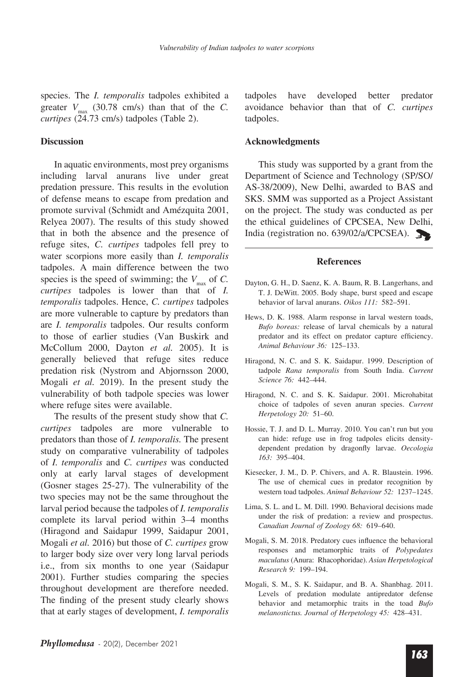species. The *I. temporalis* tadpoles exhibited a greater  $V_{\text{max}}$  (30.78 cm/s) than that of the *C*. *curtipes* (24.73 cm/s) tadpoles (Table 2).

#### **Discussion**

In aquatic environments, most prey organisms including larval anurans live under great predation pressure. This results in the evolution of defense means to escape from predation and promote survival (Schmidt and Amézquita 2001, Relyea 2007). The results of this study showed that in both the absence and the presence of refuge sites, *C. curtipes* tadpoles fell prey to water scorpions more easily than *I. temporalis* tadpoles. A main difference between the two species is the speed of swimming; the  $V_{\text{max}}$  of *C*. *curtipes* tadpoles is lower than that of *I. temporalis* tadpoles. Hence, *C. curtipes* tadpoles are more vulnerable to capture by predators than are *I. temporalis* tadpoles. Our results conform to those of earlier studies (Van Buskirk and McCollum 2000, Dayton *et al.* 2005). It is generally believed that refuge sites reduce predation risk (Nystrom and Abjornsson 2000, Mogali *et al.* 2019). In the present study the vulnerability of both tadpole species was lower where refuge sites were available.

The results of the present study show that *C. curtipes* tadpoles are more vulnerable to predators than those of *I. temporalis.* The present study on comparative vulnerability of tadpoles of *I. temporalis* and *C. curtipes* was conducted only at early larval stages of development (Gosner stages 25-27). The vulnerability of the two species may not be the same throughout the larval period because the tadpoles of *I. temporalis* complete its larval period within 3–4 months (Hiragond and Saidapur 1999, Saidapur 2001, Mogali *et al.* 2016) but those of *C. curtipes* grow to larger body size over very long larval periods i.e., from six months to one year (Saidapur 2001). Further studies comparing the species throughout development are therefore needed. The finding of the present study clearly shows that at early stages of development, *I. temporalis* tadpoles have developed better predator avoidance behavior than that of *C. curtipes* tadpoles.

#### **Acknowledgments**

This study was supported by a grant from the Department of Science and Technology (SP/SO/ AS-38/2009), New Delhi, awarded to BAS and SKS. SMM was supported as a Project Assistant on the project. The study was conducted as per the ethical guidelines of CPCSEA, New Delhi, India (registration no. 639/02/a/CPCSEA).

#### **References**

- Dayton, G. H., D. Saenz, K. A. Baum, R. B. Langerhans, and T. J. DeWitt. 2005. Body shape, burst speed and escape behavior of larval anurans. *Oikos 111:* 582–591.
- Hews, D. K. 1988. Alarm response in larval western toads, *Bufo boreas:* release of larval chemicals by a natural predator and its effect on predator capture efficiency. *Animal Behaviour 36:* 125–133.
- Hiragond, N. C. and S. K. Saidapur. 1999. Description of tadpole *Rana temporalis* from South India. *Current Science 76:* 442–444.
- Hiragond, N. C. and S. K. Saidapur. 2001. Microhabitat choice of tadpoles of seven anuran species. *Current Herpetology 20:* 51–60.
- Hossie, T. J. and D. L. Murray. 2010. You can't run but you can hide: refuge use in frog tadpoles elicits densitydependent predation by dragonfly larvae. Oecologia *163:* 395–404.
- Kiesecker, J. M., D. P. Chivers, and A. R. Blaustein. 1996. The use of chemical cues in predator recognition by western toad tadpoles. *Animal Behaviour 52:* 1237–1245.
- Lima, S. L. and L. M. Dill. 1990. Behavioral decisions made under the risk of predation: a review and prospectus. *Canadian Journal of Zoology 68:* 619–640.
- Mogali, S. M. 2018. Predatory cues influence the behavioral responses and metamorphic traits of *Polypedates maculatus* (Anura: Rhacophoridae). *Asian Herpetological Research 9:* 199–194.
- Mogali, S. M., S. K. Saidapur, and B. A. Shanbhag. 2011. Levels of predation modulate antipredator defense behavior and metamorphic traits in the toad *Bufo melanostictus. Journal of Herpetology 45:* 428–431.